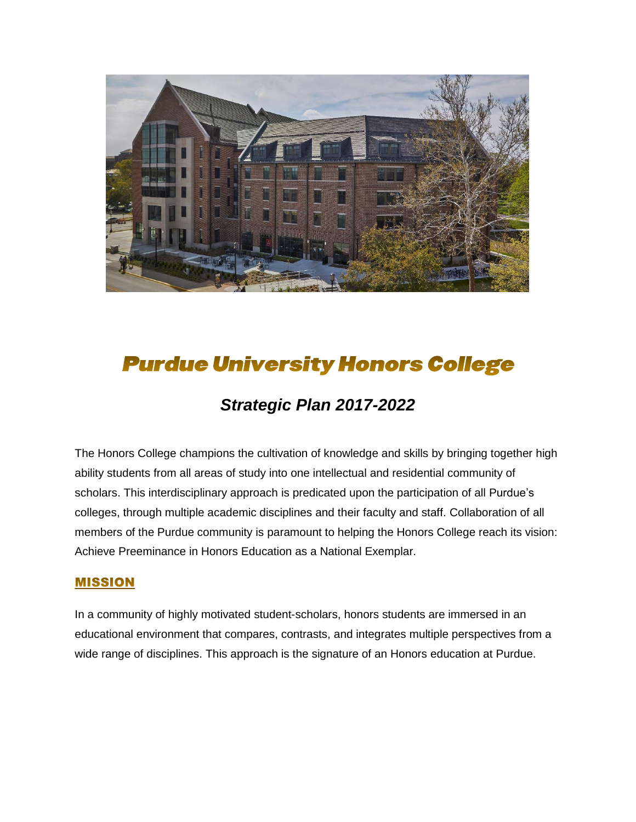

# **Purdue University Honors College**

# *Strategic Plan 2017-2022*

The Honors College champions the cultivation of knowledge and skills by bringing together high ability students from all areas of study into one intellectual and residential community of scholars. This interdisciplinary approach is predicated upon the participation of all Purdue's colleges, through multiple academic disciplines and their faculty and staff. Collaboration of all members of the Purdue community is paramount to helping the Honors College reach its vision: Achieve Preeminance in Honors Education as a National Exemplar.

#### **MISSION**

In a community of highly motivated student-scholars, honors students are immersed in an educational environment that compares, contrasts, and integrates multiple perspectives from a wide range of disciplines. This approach is the signature of an Honors education at Purdue.